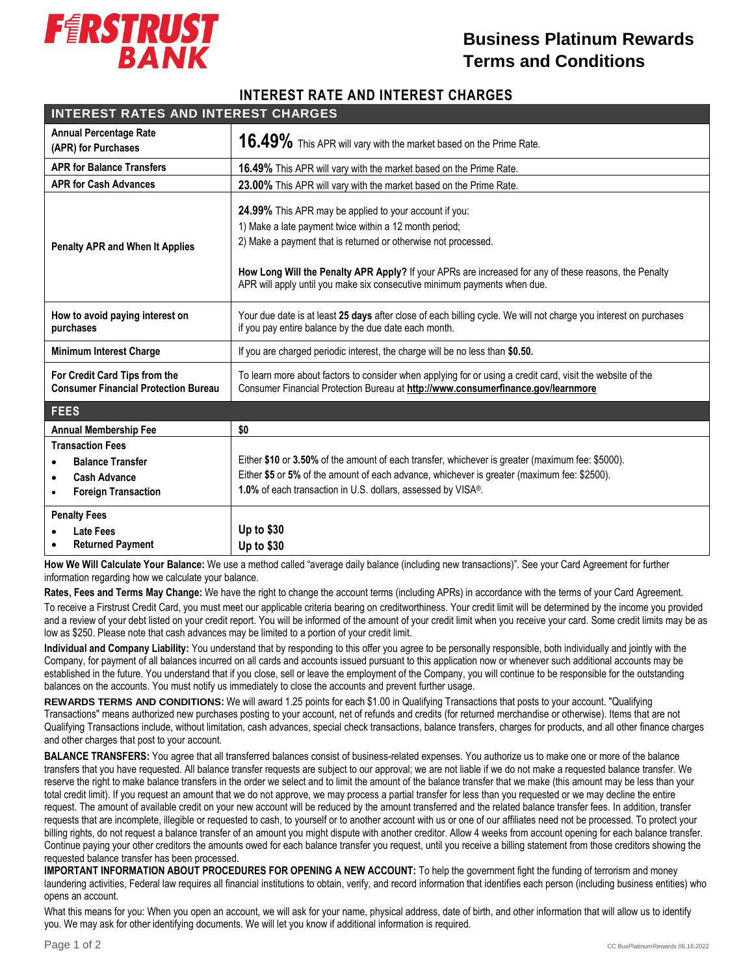

## **Business Platinum Rewards Terms and Conditions**

## **INTEREST RATE AND INTEREST CHARGES**

| <b>INTEREST RATES AND INTEREST CHARGES</b>                                                                   |                                                                                                                                                                                                                                                                                                                                                                         |
|--------------------------------------------------------------------------------------------------------------|-------------------------------------------------------------------------------------------------------------------------------------------------------------------------------------------------------------------------------------------------------------------------------------------------------------------------------------------------------------------------|
| <b>Annual Percentage Rate</b><br>(APR) for Purchases                                                         | 16.49% This APR will vary with the market based on the Prime Rate.                                                                                                                                                                                                                                                                                                      |
| <b>APR for Balance Transfers</b>                                                                             | <b>16.49%</b> This APR will vary with the market based on the Prime Rate.                                                                                                                                                                                                                                                                                               |
| <b>APR for Cash Advances</b>                                                                                 | 23.00% This APR will vary with the market based on the Prime Rate.                                                                                                                                                                                                                                                                                                      |
| <b>Penalty APR and When It Applies</b>                                                                       | 24.99% This APR may be applied to your account if you:<br>1) Make a late payment twice within a 12 month period;<br>2) Make a payment that is returned or otherwise not processed.<br>How Long Will the Penalty APR Apply? If your APRs are increased for any of these reasons, the Penalty<br>APR will apply until you make six consecutive minimum payments when due. |
| How to avoid paying interest on<br>purchases                                                                 | Your due date is at least 25 days after close of each billing cycle. We will not charge you interest on purchases<br>if you pay entire balance by the due date each month.                                                                                                                                                                                              |
| <b>Minimum Interest Charge</b>                                                                               | If you are charged periodic interest, the charge will be no less than \$0.50.                                                                                                                                                                                                                                                                                           |
| For Credit Card Tips from the<br><b>Consumer Financial Protection Bureau</b>                                 | To learn more about factors to consider when applying for or using a credit card, visit the website of the<br>Consumer Financial Protection Bureau at http://www.consumerfinance.gov/learnmore                                                                                                                                                                          |
| <b>FEES</b>                                                                                                  |                                                                                                                                                                                                                                                                                                                                                                         |
| <b>Annual Membership Fee</b>                                                                                 | \$0                                                                                                                                                                                                                                                                                                                                                                     |
| <b>Transaction Fees</b><br><b>Balance Transfer</b><br><b>Cash Advance</b><br><b>Foreign Transaction</b><br>٠ | Either \$10 or 3.50% of the amount of each transfer, whichever is greater (maximum fee: \$5000).<br>Either \$5 or 5% of the amount of each advance, whichever is greater (maximum fee: \$2500).<br>1.0% of each transaction in U.S. dollars, assessed by VISA®.                                                                                                         |
| <b>Penalty Fees</b><br>Late Fees<br><b>Returned Payment</b>                                                  | Up to \$30<br><b>Up to \$30</b>                                                                                                                                                                                                                                                                                                                                         |

 **How We Will Calculate Your Balance:** We use a method called "average daily balance (including new transactions)". See your Card Agreement for further information regarding how we calculate your balance.

**Rates, Fees and Terms May Change:** We have the right to change the account terms (including APRs) in accordance with the terms of your Card Agreement. To receive a Firstrust Credit Card, you must meet our applicable criteria bearing on creditworthiness. Your credit limit will be determined by the income you provided and a review of your debt listed on your credit report. You will be informed of the amount of your credit limit when you receive your card. Some credit limits may be as low as \$250. Please note that cash advances may be limited to a portion of your credit limit.

**Individual and Company Liability:** You understand that by responding to this offer you agree to be personally responsible, both individually and jointly with the Company, for payment of all balances incurred on all cards and accounts issued pursuant to this application now or whenever such additional accounts may be established in the future. You understand that if you close, sell or leave the employment of the Company, you will continue to be responsible for the outstanding balances on the accounts. You must notify us immediately to close the accounts and prevent further usage.

**REWARDS TERMS AND CONDITIONS:** We will award 1.25 points for each \$1.00 in Qualifying Transactions that posts to your account. "Qualifying Transactions" means authorized new purchases posting to your account, net of refunds and credits (for returned merchandise or otherwise). Items that are not Qualifying Transactions include, without limitation, cash advances, special check transactions, balance transfers, charges for products, and all other finance charges and other charges that post to your account.

**BALANCE TRANSFERS:** You agree that all transferred balances consist of business-related expenses. You authorize us to make one or more of the balance transfers that you have requested. All balance transfer requests are subject to our approval; we are not liable if we do not make a requested balance transfer. We reserve the right to make balance transfers in the order we select and to limit the amount of the balance transfer that we make (this amount may be less than your total credit limit). If you request an amount that we do not approve, we may process a partial transfer for less than you requested or we may decline the entire request. The amount of available credit on your new account will be reduced by the amount transferred and the related balance transfer fees. In addition, transfer requests that are incomplete, illegible or requested to cash, to yourself or to another account with us or one of our affiliates need not be processed. To protect your billing rights, do not request a balance transfer of an amount you might dispute with another creditor. Allow 4 weeks from account opening for each balance transfer. Continue paying your other creditors the amounts owed for each balance transfer you request, until you receive a billing statement from those creditors showing the requested balance transfer has been processed.

**IMPORTANT INFORMATION ABOUT PROCEDURES FOR OPENING A NEW ACCOUNT:** To help the government fight the funding of terrorism and money laundering activities, Federal law requires all financial institutions to obtain, verify, and record information that identifies each person (including business entities) who opens an account.

What this means for you: When you open an account, we will ask for your name, physical address, date of birth, and other information that will allow us to identify you. We may ask for other identifying documents. We will let you know if additional information is required.